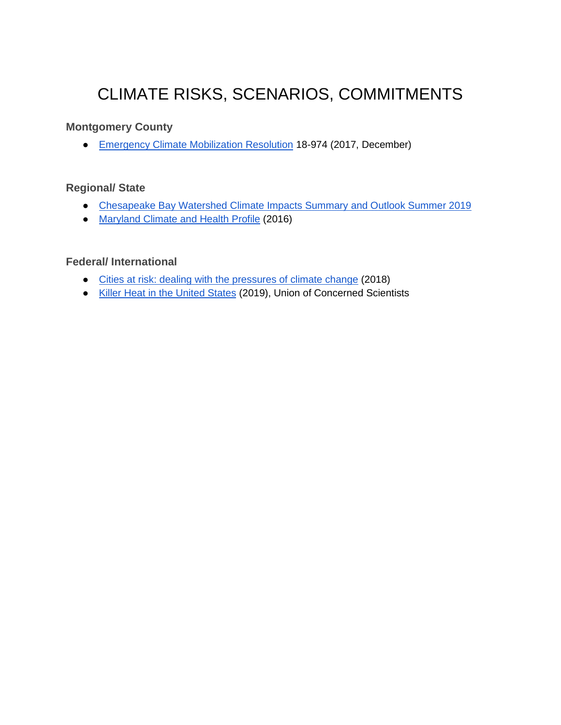# CLIMATE RISKS, SCENARIOS, COMMITMENTS

#### **Montgomery County**

● [Emergency Climate Mobilization Resolution](https://www.montgomerycountymd.gov/COUNCIL/Resources/Files/res/2017/20171205_18-974.pdf) 18-974 (2017, December)

#### **Regional/ State**

- [Chesapeake Bay Watershed Climate Impacts Summary and Outlook Summer 2019](https://midatlanticrisa.org/climate-summaries/2019/09.html#part-4-annual-extreme-temperat-)
- [Maryland Climate and Health Profile](https://www.adaptationclearinghouse.org/resources/maryland-climate-and-health-profile.html) (2016)

#### **Federal/ International**

- [Cities at risk: dealing with the pressures of climate change](https://www.cdp.net/en/research/global-reports/cities-at-risk) (2018)
- [Killer Heat in the United States](https://www.ucsusa.org/resources/killer-heat-united-states-0) (2019), Union of Concerned Scientists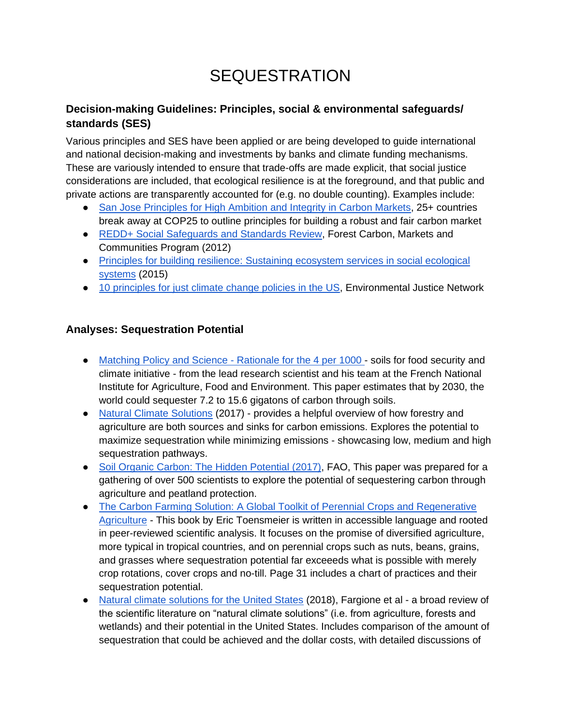# **SEQUESTRATION**

### **Decision-making Guidelines: Principles, social & environmental safeguards/ standards (SES)**

Various principles and SES have been applied or are being developed to guide international and national decision-making and investments by banks and climate funding mechanisms. These are variously intended to ensure that trade-offs are made explicit, that social justice considerations are included, that ecological resilience is at the foreground, and that public and private actions are transparently accounted for (e.g. no double counting). Examples include:

- [San Jose Principles for High Ambition and Integrity in Carbon Markets,](https://cambioclimatico.go.cr/press-release-leading-countries-set-benchmark-for-carbon-markets-with-san-jose-principles/) 25+ countries break away at COP25 to outline principles for building a robust and fair carbon market
- [REDD+ Social Safeguards and Standards Review,](https://www.climatelinks.org/sites/default/files/asset/document/Safeguards_Paper.pdf) Forest Carbon, Markets and Communities Program (2012)
- [Principles for building resilience: Sustaining ecosystem services in social ecological](https://www.stockholmresilience.org/research/research-news/2015-04-08-seven-principles-for-building-resilience.html)  [systems](https://www.stockholmresilience.org/research/research-news/2015-04-08-seven-principles-for-building-resilience.html) (2015)
- [10 principles for just climate change policies in the US,](https://www.ejnet.org/ej/climatejustice.pdf) Environmental Justice Network

### **Analyses: Sequestration Potential**

- [Matching Policy and Science -](https://www.researchgate.net/scientific-contributions/9365865_Jean-Francois_Soussana) Rationale for the 4 per 1000 soils for food security and climate initiative - from the lead research scientist and his team at the French National Institute for Agriculture, Food and Environment. This paper estimates that by 2030, the world could sequester 7.2 to 15.6 gigatons of carbon through soils.
- [Natural Climate Solutions](https://www.pnas.org/content/114/44/11645) (2017) provides a helpful overview of how forestry and agriculture are both sources and sinks for carbon emissions. Explores the potential to maximize sequestration while minimizing emissions - showcasing low, medium and high sequestration pathways.
- [Soil Organic Carbon: The Hidden Potential \(2017\),](http://www.fao.org/3/a-i6937e.pdf) FAO, This paper was prepared for a gathering of over 500 scientists to explore the potential of sequestering carbon through agriculture and peatland protection.
- The Carbon Farming Solution: A Global Toolkit of Perennial Crops and Regenerative [Agriculture](http://carbonfarmingsolution.com/) - This book by Eric Toensmeier is written in accessible language and rooted in peer-reviewed scientific analysis. It focuses on the promise of diversified agriculture, more typical in tropical countries, and on perennial crops such as nuts, beans, grains, and grasses where sequestration potential far exceeeds what is possible with merely crop rotations, cover crops and no-till. Page 31 includes a chart of practices and their sequestration potential.
- [Natural climate solutions for the United States](https://advances.sciencemag.org/content/4/11/eaat1869) (2018), Fargione et al a broad review of the scientific literature on "natural climate solutions" (i.e. from agriculture, forests and wetlands) and their potential in the United States. Includes comparison of the amount of sequestration that could be achieved and the dollar costs, with detailed discussions of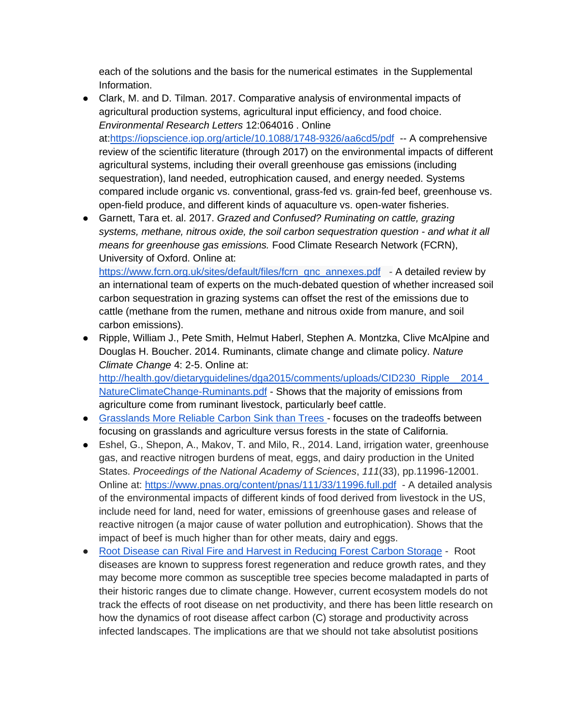each of the solutions and the basis for the numerical estimates in the Supplemental Information.

- Clark, M. and D. Tilman. 2017. Comparative analysis of environmental impacts of agricultural production systems, agricultural input efficiency, and food choice. *Environmental Research Letters* 12:064016 . Online at[:https://iopscience.iop.org/article/10.1088/1748-9326/aa6cd5/pdf](https://iopscience.iop.org/article/10.1088/1748-9326/aa6cd5/pdf) -- A comprehensive review of the scientific literature (through 2017) on the environmental impacts of different agricultural systems, including their overall greenhouse gas emissions (including sequestration), land needed, eutrophication caused, and energy needed. Systems compared include organic vs. conventional, grass-fed vs. grain-fed beef, greenhouse vs. open-field produce, and different kinds of aquaculture vs. open-water fisheries.
- Garnett, Tara et. al. 2017. *Grazed and Confused? Ruminating on cattle, grazing systems, methane, nitrous oxide, the soil carbon sequestration question - and what it all means for greenhouse gas emissions.* Food Climate Research Network (FCRN), University of Oxford. Online at:

[https://www.fcrn.org.uk/sites/default/files/fcrn\\_gnc\\_annexes.pdf](https://www.fcrn.org.uk/sites/default/files/fcrn_gnc_annexes.pdf) - A detailed review by an international team of experts on the much-debated question of whether increased soil carbon sequestration in grazing systems can offset the rest of the emissions due to cattle (methane from the rumen, methane and nitrous oxide from manure, and soil carbon emissions).

- Ripple, William J., Pete Smith, Helmut Haberl, Stephen A. Montzka, Clive McAlpine and Douglas H. Boucher. 2014. Ruminants, climate change and climate policy. *Nature Climate Change* 4: 2-5. Online at: http://health.gov/dietaryguidelines/dga2015/comments/uploads/CID230\_Ripple\_\_2014 [NatureClimateChange-Ruminants.pdf](http://health.gov/dietaryguidelines/dga2015/comments/uploads/CID230_Ripple__2014_NatureClimateChange-Ruminants.pdf) - Shows that the majority of emissions from agriculture come from ruminant livestock, particularly beef cattle.
- [Grasslands More Reliable Carbon Sink than Trees -](https://climatechange.ucdavis.edu/news/grasslands-more-reliable-carbon-sink-than-trees/) focuses on the tradeoffs between focusing on grasslands and agriculture versus forests in the state of California.
- Eshel, G., Shepon, A., Makov, T. and Milo, R., 2014. Land, irrigation water, greenhouse gas, and reactive nitrogen burdens of meat, eggs, and dairy production in the United States. *Proceedings of the National Academy of Sciences*, *111*(33), pp.11996-12001. Online at:<https://www.pnas.org/content/pnas/111/33/11996.full.pdf>- A detailed analysis of the environmental impacts of different kinds of food derived from livestock in the US, include need for land, need for water, emissions of greenhouse gases and release of reactive nitrogen (a major cause of water pollution and eutrophication). Shows that the impact of beef is much higher than for other meats, dairy and eggs.
- [Root Disease can Rival Fire and Harvest in Reducing Forest Carbon Storage](https://esajournals.onlinelibrary.wiley.com/doi/full/10.1002/ecs2.1569) Root diseases are known to suppress forest regeneration and reduce growth rates, and they may become more common as susceptible tree species become maladapted in parts of their historic ranges due to climate change. However, current ecosystem models do not track the effects of root disease on net productivity, and there has been little research on how the dynamics of root disease affect carbon (C) storage and productivity across infected landscapes. The implications are that we should not take absolutist positions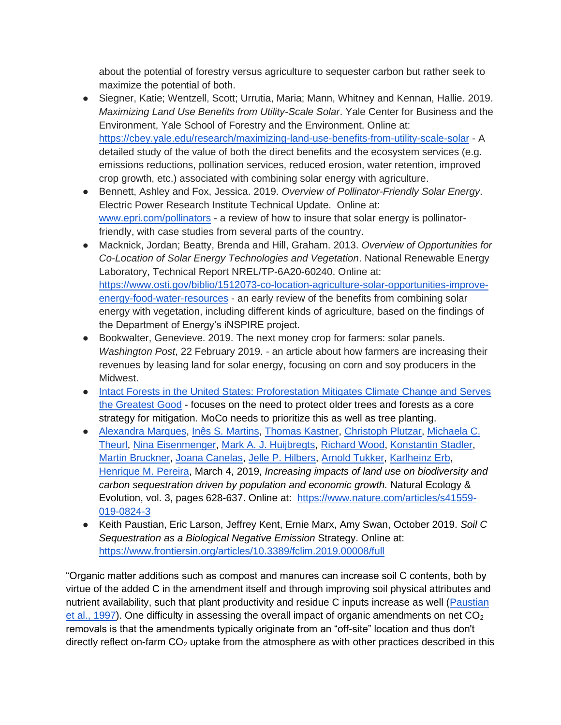about the potential of forestry versus agriculture to sequester carbon but rather seek to maximize the potential of both.

- Siegner, Katie; Wentzell, Scott; Urrutia, Maria; Mann, Whitney and Kennan, Hallie. 2019. *Maximizing Land Use Benefits from Utility-Scale Solar*. Yale Center for Business and the Environment, Yale School of Forestry and the Environment. Online at: <https://cbey.yale.edu/research/maximizing-land-use-benefits-from-utility-scale-solar> - A detailed study of the value of both the direct benefits and the ecosystem services (e.g. emissions reductions, pollination services, reduced erosion, water retention, improved crop growth, etc.) associated with combining solar energy with agriculture.
- Bennett, Ashley and Fox, Jessica. 2019. *Overview of Pollinator-Friendly Solar Energy*. Electric Power Research Institute Technical Update. Online at: [www.epri.com/pollinators](http://www.epri.com/pollinators) - a review of how to insure that solar energy is pollinatorfriendly, with case studies from several parts of the country.
- Macknick, Jordan; Beatty, Brenda and Hill, Graham. 2013. *Overview of Opportunities for Co-Location of Solar Energy Technologies and Vegetation*. National Renewable Energy Laboratory, Technical Report NREL/TP-6A20-60240. Online at: [https://www.osti.gov/biblio/1512073-co-location-agriculture-solar-opportunities-improve](https://www.osti.gov/biblio/1512073-co-location-agriculture-solar-opportunities-improve-energy-food-water-resources)[energy-food-water-resources](https://www.osti.gov/biblio/1512073-co-location-agriculture-solar-opportunities-improve-energy-food-water-resources) - an early review of the benefits from combining solar energy with vegetation, including different kinds of agriculture, based on the findings of the Department of Energy's iNSPIRE project.
- Bookwalter, Genevieve. 2019. The next money crop for farmers: solar panels. *Washington Post*, 22 February 2019. - an article about how farmers are increasing their revenues by leasing land for solar energy, focusing on corn and soy producers in the Midwest.
- [Intact Forests in the United States: Proforestation Mitigates Climate Change and Serves](https://www.frontiersin.org/articles/10.3389/ffgc.2019.00027/full)  [the Greatest Good](https://www.frontiersin.org/articles/10.3389/ffgc.2019.00027/full) - focuses on the need to protect older trees and forests as a core strategy for mitigation. MoCo needs to prioritize this as well as tree planting.
- [Alexandra Marques,](https://www.nature.com/articles/s41559-019-0824-3#auth-1) [Inês S. Martins](https://www.nature.com/articles/s41559-019-0824-3#auth-2)[,](https://www.nature.com/articles/s41559-019-0824-3#auth-3) [Thomas Kastner](https://www.nature.com/articles/s41559-019-0824-3#auth-3)[,](https://www.nature.com/articles/s41559-019-0824-3#auth-4) [Christoph Plutzar,](https://www.nature.com/articles/s41559-019-0824-3#auth-4) [Michaela C.](https://www.nature.com/articles/s41559-019-0824-3#auth-5)  [Theurl,](https://www.nature.com/articles/s41559-019-0824-3#auth-5) [Nina Eisenmenger,](https://www.nature.com/articles/s41559-019-0824-3#auth-6) [Mark A. J. Huijbregts](https://www.nature.com/articles/s41559-019-0824-3#auth-7)[,](https://www.nature.com/articles/s41559-019-0824-3#auth-8) [Richard Wood,](https://www.nature.com/articles/s41559-019-0824-3#auth-8) [Konstantin Stadler](https://www.nature.com/articles/s41559-019-0824-3#auth-9)[,](https://www.nature.com/articles/s41559-019-0824-3#auth-10) [Martin Bruckner](https://www.nature.com/articles/s41559-019-0824-3#auth-10)[,](https://www.nature.com/articles/s41559-019-0824-3#auth-11) [Joana Canelas](https://www.nature.com/articles/s41559-019-0824-3#auth-11)[,](https://www.nature.com/articles/s41559-019-0824-3#auth-12) [Jelle P. Hilbers](https://www.nature.com/articles/s41559-019-0824-3#auth-12)[,](https://www.nature.com/articles/s41559-019-0824-3#auth-13) [Arnold Tukker](https://www.nature.com/articles/s41559-019-0824-3#auth-13)[,](https://www.nature.com/articles/s41559-019-0824-3#auth-14) [Karlheinz Erb](https://www.nature.com/articles/s41559-019-0824-3#auth-14)[,](https://www.nature.com/articles/s41559-019-0824-3#auth-15) [Henrique M. Pereira,](https://www.nature.com/articles/s41559-019-0824-3#auth-15) March 4, 2019, *Increasing impacts of land use on biodiversity and carbon sequestration driven by population and economic growth.* Natural Ecology & Evolution, vol. 3, pages 628-637. Online at: [https://www.nature.com/articles/s41559-](https://www.nature.com/articles/s41559-019-0824-3) [019-0824-3](https://www.nature.com/articles/s41559-019-0824-3)
- Keith Paustian, Eric Larson, Jeffrey Kent, Ernie Marx, Amy Swan, October 2019. *Soil C Sequestration as a Biological Negative Emission* Strategy. Online at[:](https://www.frontiersin.org/articles/10.3389/fclim.2019.00008/full) <https://www.frontiersin.org/articles/10.3389/fclim.2019.00008/full>

"Organic matter additions such as compost and manures can increase soil C contents, both by virtue of the added C in the amendment itself and through improving soil physical attributes and nutrient availability, such that plant productivity and residue C inputs increase as well [\(Paustian](https://www.frontiersin.org/articles/10.3389/fclim.2019.00008/full#B54)  [et al., 1997\)](https://www.frontiersin.org/articles/10.3389/fclim.2019.00008/full#B54). One difficulty in assessing the overall impact of organic amendments on net  $CO<sub>2</sub>$ removals is that the amendments typically originate from an "off-site" location and thus don't directly reflect on-farm  $CO<sub>2</sub>$  uptake from the atmosphere as with other practices described in this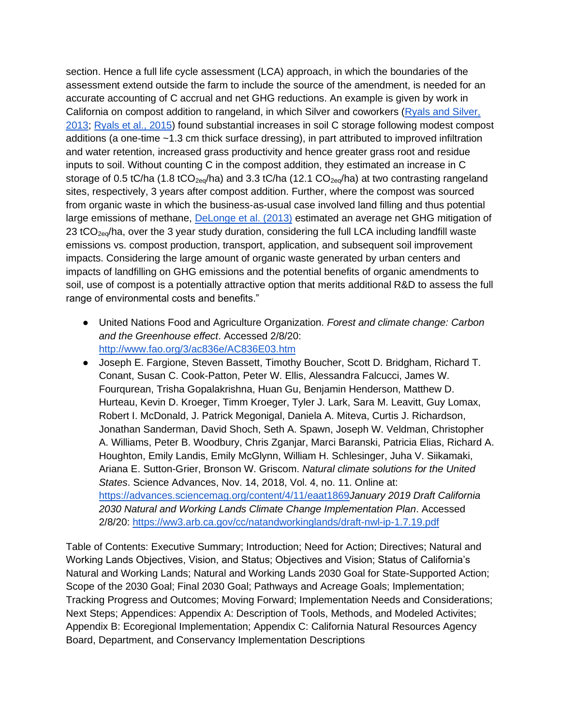section. Hence a full life cycle assessment (LCA) approach, in which the boundaries of the assessment extend outside the farm to include the source of the amendment, is needed for an accurate accounting of C accrual and net GHG reductions. An example is given by work in California on compost addition to rangeland, in which Silver and coworkers [\(Ryals and Silver,](https://www.frontiersin.org/articles/10.3389/fclim.2019.00008/full#B64)  [2013](https://www.frontiersin.org/articles/10.3389/fclim.2019.00008/full#B64)[;](https://www.frontiersin.org/articles/10.3389/fclim.2019.00008/full#B63) [Ryals et al., 2015\)](https://www.frontiersin.org/articles/10.3389/fclim.2019.00008/full#B63) found substantial increases in soil C storage following modest compost additions (a one-time ~1.3 cm thick surface dressing), in part attributed to improved infiltration and water retention, increased grass productivity and hence greater grass root and residue inputs to soil. Without counting C in the compost addition, they estimated an increase in C storage of 0.5 tC/ha (1.8 tCO<sub>2eg</sub>/ha) and 3.3 tC/ha (12.1 CO<sub>2eg</sub>/ha) at two contrasting rangeland sites, respectively, 3 years after compost addition. Further, where the compost was sourced from organic waste in which the business-as-usual case involved land filling and thus potential large emissions of methane[,](https://www.frontiersin.org/articles/10.3389/fclim.2019.00008/full#B21) [DeLonge et al. \(2013\)](https://www.frontiersin.org/articles/10.3389/fclim.2019.00008/full#B21) estimated an average net GHG mitigation of 23 tCO<sub>2eq</sub>/ha, over the 3 year study duration, considering the full LCA including landfill waste emissions vs. compost production, transport, application, and subsequent soil improvement impacts. Considering the large amount of organic waste generated by urban centers and impacts of landfilling on GHG emissions and the potential benefits of organic amendments to soil, use of compost is a potentially attractive option that merits additional R&D to assess the full range of environmental costs and benefits."

- United Nations Food and Agriculture Organization. *Forest and climate change: Carbon and the Greenhouse effect*. Accessed 2/8/20[:](http://www.fao.org/3/ac836e/AC836E03.htm) <http://www.fao.org/3/ac836e/AC836E03.htm>
- Joseph E. Fargione, Steven Bassett, Timothy Boucher, Scott D. Bridgham, Richard T. Conant, Susan C. Cook-Patton, Peter W. Ellis, Alessandra Falcucci, James W. Fourqurean, Trisha Gopalakrishna, Huan Gu, Benjamin Henderson, Matthew D. Hurteau, Kevin D. Kroeger, Timm Kroeger, Tyler J. Lark, Sara M. Leavitt, Guy Lomax, Robert I. McDonald, J. Patrick Megonigal, Daniela A. Miteva, Curtis J. Richardson, Jonathan Sanderman, David Shoch, Seth A. Spawn, Joseph W. Veldman, Christopher A. Williams, Peter B. Woodbury, Chris Zganjar, Marci Baranski, Patricia Elias, Richard A. Houghton, Emily Landis, Emily McGlynn, William H. Schlesinger, Juha V. Siikamaki, Ariana E. Sutton-Grier, Bronson W. Griscom. *Natural climate solutions for the United States*. Science Advances, Nov. 14, 2018, Vol. 4, no. 11. Online at[:](https://advances.sciencemag.org/content/4/11/eaat1869) <https://advances.sciencemag.org/content/4/11/eaat1869>*January 2019 Draft California 2030 Natural and Working Lands Climate Change Implementation Plan*. Accessed 2/8/20[:](https://ww3.arb.ca.gov/cc/natandworkinglands/draft-nwl-ip-1.7.19.pdf) <https://ww3.arb.ca.gov/cc/natandworkinglands/draft-nwl-ip-1.7.19.pdf>

Table of Contents: Executive Summary; Introduction; Need for Action; Directives; Natural and Working Lands Objectives, Vision, and Status; Objectives and Vision; Status of California's Natural and Working Lands; Natural and Working Lands 2030 Goal for State-Supported Action; Scope of the 2030 Goal; Final 2030 Goal; Pathways and Acreage Goals; Implementation; Tracking Progress and Outcomes; Moving Forward; Implementation Needs and Considerations; Next Steps; Appendices: Appendix A: Description of Tools, Methods, and Modeled Activites; Appendix B: Ecoregional Implementation; Appendix C: California Natural Resources Agency Board, Department, and Conservancy Implementation Descriptions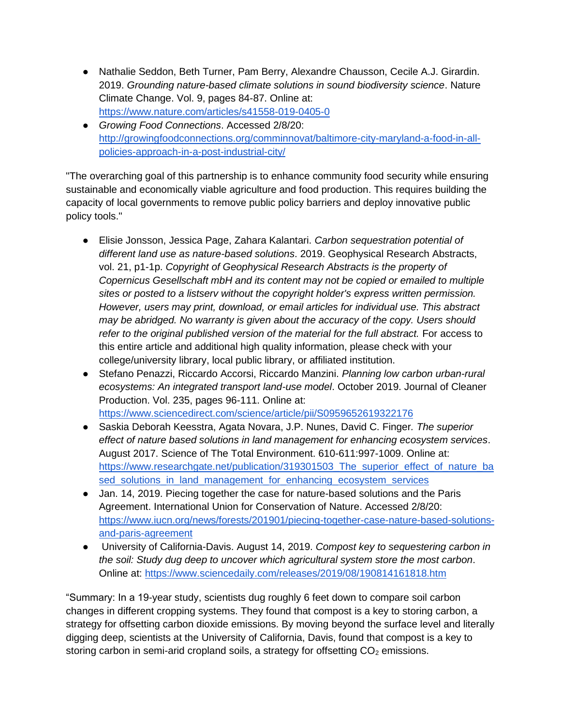- Nathalie Seddon, Beth Turner, Pam Berry, Alexandre Chausson, Cecile A.J. Girardin. 2019. *Grounding nature-based climate solutions in sound biodiversity science*. Nature Climate Change. Vol. 9, pages 84-87. Online at[:](https://www.nature.com/articles/s41558-019-0405-0) <https://www.nature.com/articles/s41558-019-0405-0>
- *Growing Food Connections*. Accessed 2/8/20[:](http://growingfoodconnections.org/comminnovat/baltimore-city-maryland-a-food-in-all-policies-approach-in-a-post-industrial-city/) [http://growingfoodconnections.org/comminnovat/baltimore-city-maryland-a-food-in-all](http://growingfoodconnections.org/comminnovat/baltimore-city-maryland-a-food-in-all-policies-approach-in-a-post-industrial-city/)[policies-approach-in-a-post-industrial-city/](http://growingfoodconnections.org/comminnovat/baltimore-city-maryland-a-food-in-all-policies-approach-in-a-post-industrial-city/)

"The overarching goal of this partnership is to enhance community food security while ensuring sustainable and economically viable agriculture and food production. This requires building the capacity of local governments to remove public policy barriers and deploy innovative public policy tools."

- Elisie Jonsson, Jessica Page, Zahara Kalantari. *Carbon sequestration potential of different land use as nature-based solutions*. 2019. Geophysical Research Abstracts, vol. 21, p1-1p. *Copyright of Geophysical Research Abstracts is the property of Copernicus Gesellschaft mbH and its content may not be copied or emailed to multiple sites or posted to a listserv without the copyright holder's express written permission. However, users may print, download, or email articles for individual use. This abstract may be abridged. No warranty is given about the accuracy of the copy. Users should refer to the original published version of the material for the full abstract.* For access to this entire article and additional high quality information, please check with your college/university library, local public library, or affiliated institution.
- Stefano Penazzi, Riccardo Accorsi, Riccardo Manzini. *Planning low carbon urban-rural ecosystems: An integrated transport land-use model*. October 2019. Journal of Cleaner Production. Vol. 235, pages 96-111. Online at[:](https://www.sciencedirect.com/science/article/pii/S0959652619322176) <https://www.sciencedirect.com/science/article/pii/S0959652619322176>
- Saskia Deborah Keesstra, Agata Novara, J.P. Nunes, David C. Finger*. The superior effect of nature based solutions in land management for enhancing ecosystem services*. August 2017. Science of The Total Environment. 610-611:997-1009. Online at[:](https://www.researchgate.net/publication/319301503_The_superior_effect_of_nature_based_solutions_in_land_management_for_enhancing_ecosystem_services) [https://www.researchgate.net/publication/319301503\\_The\\_superior\\_effect\\_of\\_nature\\_ba](https://www.researchgate.net/publication/319301503_The_superior_effect_of_nature_based_solutions_in_land_management_for_enhancing_ecosystem_services) sed solutions in land management for enhancing ecosystem services
- Jan. 14, 2019. Piecing together the case for nature-based solutions and the Paris Agreement. International Union for Conservation of Nature. Accessed 2/8/20: [https://www.iucn.org/news/forests/201901/piecing-together-case-nature-based-solutions](https://www.iucn.org/news/forests/201901/piecing-together-case-nature-based-solutions-and-paris-agreement)[and-paris-agreement](https://www.iucn.org/news/forests/201901/piecing-together-case-nature-based-solutions-and-paris-agreement)
- University of California-Davis. August 14, 2019. *Compost key to sequestering carbon in the soil: Study dug deep to uncover which agricultural system store the most carbon*. Online at[:](https://www.sciencedaily.com/releases/2019/08/190814161818.htm) <https://www.sciencedaily.com/releases/2019/08/190814161818.htm>

"Summary: In a 19-year study, scientists dug roughly 6 feet down to compare soil carbon changes in different cropping systems. They found that compost is a key to storing carbon, a strategy for offsetting carbon dioxide emissions. By moving beyond the surface level and literally digging deep, scientists at the University of California, Davis, found that compost is a key to storing carbon in semi-arid cropland soils, a strategy for offsetting  $CO<sub>2</sub>$  emissions.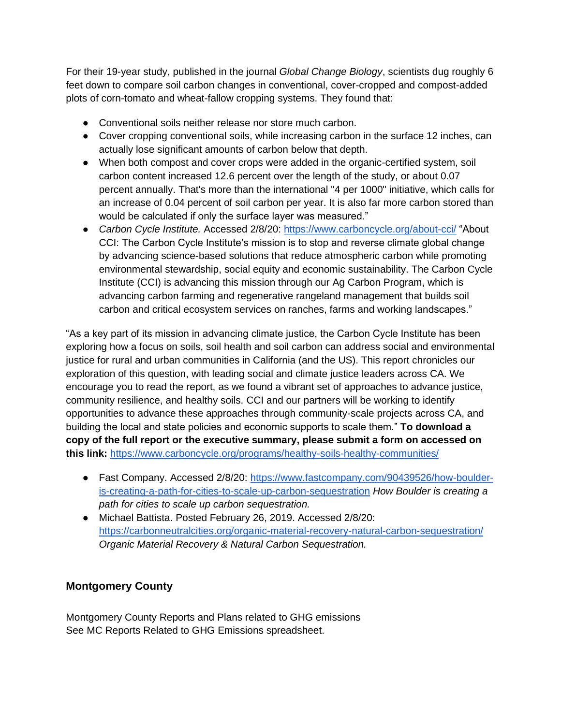For their 19-year study, published in the journal *Global Change Biology*, scientists dug roughly 6 feet down to compare soil carbon changes in conventional, cover-cropped and compost-added plots of corn-tomato and wheat-fallow cropping systems. They found that:

- Conventional soils neither release nor store much carbon.
- Cover cropping conventional soils, while increasing carbon in the surface 12 inches, can actually lose significant amounts of carbon below that depth.
- When both compost and cover crops were added in the organic-certified system, soil carbon content increased 12.6 percent over the length of the study, or about 0.07 percent annually. That's more than the international "4 per 1000" initiative, which calls for an increase of 0.04 percent of soil carbon per year. It is also far more carbon stored than would be calculated if only the surface layer was measured."
- *Carbon Cycle Institute.* Accessed 2/8/20[:](https://www.carboncycle.org/about-cci/) <https://www.carboncycle.org/about-cci/> "About CCI: The Carbon Cycle Institute's mission is to stop and reverse climate global change by advancing science-based solutions that reduce atmospheric carbon while promoting environmental stewardship, social equity and economic sustainability. The Carbon Cycle Institute (CCI) is advancing this mission through our Ag Carbon Program, which is advancing carbon farming and regenerative rangeland management that builds soil carbon and critical ecosystem services on ranches, farms and working landscapes."

"As a key part of its mission in advancing climate justice, the Carbon Cycle Institute has been exploring how a focus on soils, soil health and soil carbon can address social and environmental justice for rural and urban communities in California (and the US). This report chronicles our exploration of this question, with leading social and climate justice leaders across CA. We encourage you to read the report, as we found a vibrant set of approaches to advance justice, community resilience, and healthy soils. CCI and our partners will be working to identify opportunities to advance these approaches through community-scale projects across CA, and building the local and state policies and economic supports to scale them." **To download a copy of the full report or the executive summary, please submit a form on accessed on this link:** <https://www.carboncycle.org/programs/healthy-soils-healthy-communities/>

- Fast Company. Accessed 2/8/20[:](https://www.fastcompany.com/90439526/how-boulder-is-creating-a-path-for-cities-to-scale-up-carbon-sequestration) [https://www.fastcompany.com/90439526/how-boulder](https://www.fastcompany.com/90439526/how-boulder-is-creating-a-path-for-cities-to-scale-up-carbon-sequestration)[is-creating-a-path-for-cities-to-scale-up-carbon-sequestration](https://www.fastcompany.com/90439526/how-boulder-is-creating-a-path-for-cities-to-scale-up-carbon-sequestration) *How Boulder is creating a path for cities to scale up carbon sequestration.*
- Michael Battista. Posted February 26, 2019. Accessed 2/8/20: <https://carbonneutralcities.org/organic-material-recovery-natural-carbon-sequestration/> *Organic Material Recovery & Natural Carbon Sequestration.*

#### **Montgomery County**

Montgomery County Reports and Plans related to GHG emissions See MC Reports Related to GHG Emissions spreadsheet.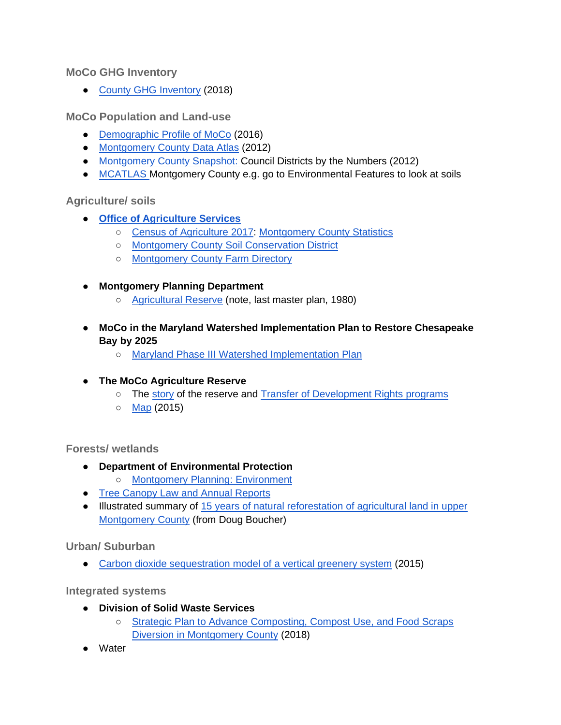**MoCo GHG Inventory**

● [County GHG Inventory](https://www.montgomerycountymd.gov/green/climate/ghg-inventory.html) (2018)

**MoCo Population and Land-use**

- [Demographic Profile of MoCo](https://montgomeryplanning.org/wp-content/uploads/2018/12/MC-Council-Districts-Demographic-Profile-2016.pdf) (2016)
- [Montgomery County Data Atlas](http://www.montgomeryplanning.org/research/documents/councildistrictdataatlas_web.pdf) (2012)
- [Montgomery County Snapshot: C](https://montgomeryplanning.org/research/documents/MoCoSnapshot_web.pdf)ouncil Districts by the Numbers (2012)
- [MCATLAS M](https://mcatlas.org/viewer/)ontgomery County e.g. go to Environmental Features to look at soils

**Agriculture/ soils**

- **[Office of Agriculture Services](https://www.montgomerycountymd.gov/agservices/)**
	- [Census of Agriculture 2017:](https://www.nass.usda.gov/Publications/AgCensus/2017/Full_Report/Volume_1,_Chapter_2_County_Level/Maryland/) [Montgomery County Statistics](https://montgomerycountymd.gov/agservices/Resources/Files/Ag%20Census/2017AGCensusMCFactSheetREVISED.pdf)
	- [Montgomery County Soil Conservation District](https://www.montgomeryscd.org/)
	- [Montgomery County Farm Directory](https://www.montgomerycountymd.gov/agservices/Resources/Files/publications/Latest_Farm_directory/seventhcutfarmdirectorydesignasof72017.pdf)
- **Montgomery Planning Department**
	- [Agricultural Reserve](https://montgomeryplanning.org/planning/agricultural-reserve/) (note, last master plan, 1980)
- **MoCo in the Maryland Watershed Implementation Plan to Restore Chesapeake Bay by 2025**
	- [Maryland Phase III Watershed Implementation Plan](https://mde.maryland.gov/programs/Water/TMDL/TMDLImplementation/Pages/Phase3WIP.aspx)
- **The MoCo Agriculture Reserve**
	- The [story](https://www.terrain.org/2018/unsprawl/the-agricultural-reserve/) of the reserve and [Transfer of Development Rights programs](https://islandpress.org/books/tdr-handbook)
	- [Map](https://www.montgomerycountymd.gov/agservices/Resources/Images/preservation/AGDATMAP2015.jpg) (2015)

**Forests/ wetlands**

- **Department of Environmental Protection** 
	- [Montgomery Planning: Environment](https://montgomeryplanning.org/planning/environment/)
- [Tree Canopy Law and Annual Reports](https://www.montgomerycountymd.gov/green/trees/laws-and-programs.html)
- Illustrated summary of [15 years of natural reforestation of agricultural land in upper](https://drive.google.com/open?id=12UEBtbZ6gFscebFxls4gRF1IXaROGg5B)  [Montgomery County](https://drive.google.com/open?id=12UEBtbZ6gFscebFxls4gRF1IXaROGg5B) (from Doug Boucher)

**Urban/ Suburban**

● [Carbon dioxide sequestration model of a vertical greenery system](https://www.researchgate.net/publication/265211839_Carbon_dioxide_sequestration_model_of_a_vertical_greenery_system) (2015)

**Integrated systems**

- **Division of Solid Waste Services**
	- [Strategic Plan to Advance Composting, Compost Use, and Food Scraps](https://www.montgomerycountymd.gov/SWS/Resources/Files/foodwaste/Strategic%20Plan%20to%20Advance%20Composting,%20Compost%20Use,%20and%20Food%20Scraps%20Diversion%20in%20Montgomery%20County,%20MD.pdf)  [Diversion in Montgomery County](https://www.montgomerycountymd.gov/SWS/Resources/Files/foodwaste/Strategic%20Plan%20to%20Advance%20Composting,%20Compost%20Use,%20and%20Food%20Scraps%20Diversion%20in%20Montgomery%20County,%20MD.pdf) (2018)
- Water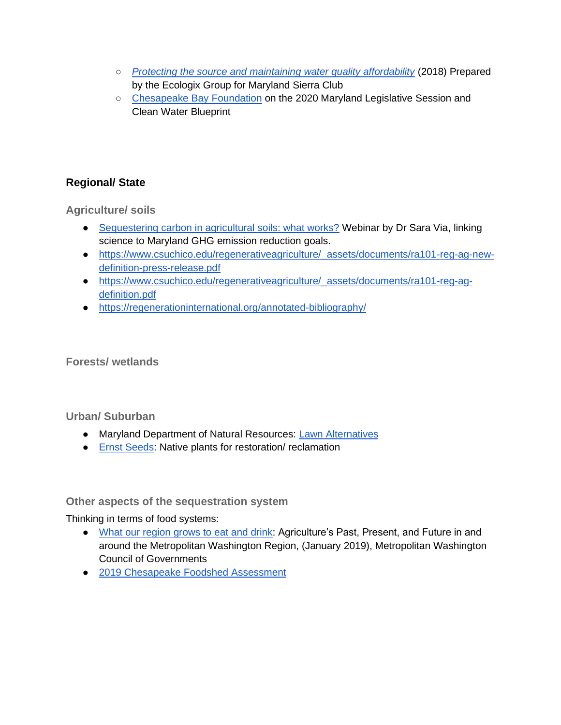- *[Protecting the source and maintaining water quality affordability](https://www.sierraclub.org/sites/www.sierraclub.org/files/sce-authors/u2410/Protecting%20the%20Source_Final%20Report_10.25.18.pdf)* (2018) Prepared by the Ecologix Group for Maryland Sierra Club
- [Chesapeake Bay Foundation](https://www.cbf.org/about-cbf/locations/maryland/offices/annapolis/legislative-session/) on the 2020 Maryland Legislative Session and Clean Water Blueprint

## **Regional/ State**

**Agriculture/ soils**

- [Sequestering carbon in agricultural soils: what works?](http://www.climatewebinars.net/webinars/sequestering-carbon-in-agricultural-soils-what-works/) Webinar by Dr Sara Via, linking science to Maryland GHG emission reduction goals.
- [https://www.csuchico.edu/regenerativeagriculture/\\_assets/documents/ra101-reg-ag-new](https://www.csuchico.edu/regenerativeagriculture/_assets/documents/ra101-reg-ag-new-definition-press-release.pdf)[definition-press-release.pdf](https://www.csuchico.edu/regenerativeagriculture/_assets/documents/ra101-reg-ag-new-definition-press-release.pdf)
- [https://www.csuchico.edu/regenerativeagriculture/\\_assets/documents/ra101-reg-ag](https://www.csuchico.edu/regenerativeagriculture/_assets/documents/ra101-reg-ag-definition.pdf)[definition.pdf](https://www.csuchico.edu/regenerativeagriculture/_assets/documents/ra101-reg-ag-definition.pdf)
- <https://regenerationinternational.org/annotated-bibliography/>

**Forests/ wetlands**

**Urban/ Suburban**

- Maryland Department of Natural Resources: [Lawn Alternatives](https://news.maryland.gov/dnr/2019/06/14/lawn-alternatives/?fbclid=IwAR0F0TqmylccGE9HPDAT0_Wsr8p8mB1wVOLdSlJsEZbAgVTQ2CebD16IVkg)
- [Ernst Seeds:](https://www.ernstseed.com/about-ernst/our-mission/) Native plants for restoration/ reclamation

**Other aspects of the sequestration system**

Thinking in terms of food systems:

- [What our region grows to eat and drink:](https://www.montgomerycountymd.gov/agservices/Resources/Files/publications/WORG_2018_FINAL_for_Web.pdf) Agriculture's Past, Present, and Future in and around the Metropolitan Washington Region, (January 2019), Metropolitan Washington Council of Governments
- [2019 Chesapeake Foodshed Assessment](https://agnr.umd.edu/sites/agnr.umd.edu/files/files/documents/Hughes%20Center/2019__Chesapeake-Foodshed-Assessment_02.pdf)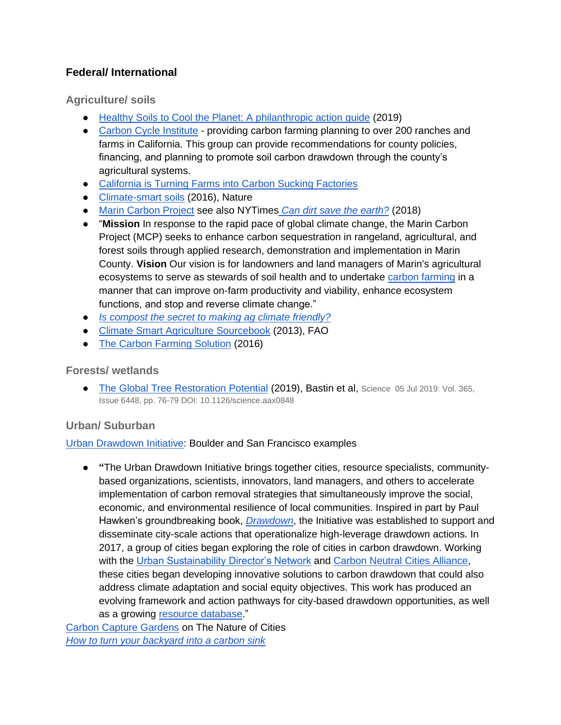#### **Federal/ International**

**Agriculture/ soils**

- [Healthy Soils to Cool the Planet: A philanthropic action guide](https://www.breakthroughstrategiesandsolutions.com/soilguide) (2019)
- [Carbon Cycle Institute](https://www.carboncycle.org/) providing carbon farming planning to over 200 ranches and farms in California. This group can provide recommendations for county policies, financing, and planning to promote soil carbon drawdown through the county's agricultural systems.
- [California is Turning Farms into Carbon Sucking Factories](https://grist.org/article/california-is-turning-farms-into-carbon-sucking-factories/)
- [Climate-smart soils](https://www.nature.com/articles/nature17174) (2016), Nature
- [Marin Carbon Project](https://www.marincarbonproject.org/) see also NYTimes *[Can dirt save the earth?](https://www.nytimes.com/2018/04/18/magazine/dirt-save-earth-carbon-farming-climate-change.html)* (2018)
- "**Mission** In response to the rapid pace of global climate change, the Marin Carbon Project (MCP) seeks to enhance carbon sequestration in rangeland, agricultural, and forest soils through applied research, demonstration and implementation in Marin County. **Vision** Our vision is for landowners and land managers of Marin's agricultural ecosystems to serve as stewards of soil health and to undertake [carbon farming](https://www.marincarbonproject.org/carbon-farming) in a manner that can improve on-farm productivity and viability, enhance ecosystem functions, and stop and reverse climate change."
- *[Is compost the secret to making ag climate friendly?](https://civileats.com/2019/09/17/is-compost-the-secret-to-making-ag-climate-friendly/)*
- [Climate Smart Agriculture Sourcebook](http://www.fao.org/3/i3325e/i3325e.pdf) (2013), FAO
- [The Carbon Farming Solution](https://www.chelseagreen.com/product/the-carbon-farming-solution/?gclid=EAIaIQobChMI0K78uc_E5wIVwp6zCh0ggwMjEAAYASAAEgLppPD_BwE) (2016)

#### **Forests/ wetlands**

● [The Global Tree Restoration Potential](https://science.sciencemag.org/content/365/6448/76?hwshib2=authn%3A1562396078%3A20190704%3Ac3ad5971-c185-4942-9acd-92aa24c51c06%3A0%3A0%3A0%3AS1lvoYPtq07c7tMzRommqA%3D%3D&eType=EmailBlastContent&eId=34bdeb79-753c-42b8-a1b7-073f1fb4843f) (2019), Bastin et al, Science 05 Jul 2019: Vol. 365, Issue 6448, pp. 76-79 DOI: 10.1126/science.aax0848

#### **Urban/ Suburban**

[Urban Drawdown Initiative:](https://urbandrawdown.solutions/about) Boulder and San Francisco examples

● **"**The Urban Drawdown Initiative brings together cities, resource specialists, communitybased organizations, scientists, innovators, land managers, and others to accelerate implementation of carbon removal strategies that simultaneously improve the social, economic, and environmental resilience of local communities. Inspired in part by Paul Hawken's groundbreaking book[,](https://urbandrawdown.solutions/resource-database/project-drawdown-hawken) *[Drawdown](https://urbandrawdown.solutions/resource-database/project-drawdown-hawken)*, the Initiative was established to support and disseminate city-scale actions that operationalize high-leverage drawdown actions. In 2017, a group of cities began exploring the role of cities in carbon drawdown. Working with th[e](https://www.usdn.org/index.html#/) [Urban Sustainability Director's Network](https://www.usdn.org/index.html#/) an[d](https://carbonneutralcities.org/) [Carbon Neutral Cities Alliance,](https://carbonneutralcities.org/) these cities began developing innovative solutions to carbon drawdown that could also address climate adaptation and social equity objectives. This work has produced an evolving framework and action pathways for city-based drawdown opportunities, as well as a growing [resource database.](https://urbandrawdown.solutions/resources)"

[Carbon Capture Gardens](https://www.thenatureofcities.com/2016/02/07/carbon-capture-gardens-a-nature-based-solution-for-managing-urban-brownfield-soils-for-biodiversity-and-ecosystem-services/) on The Nature of Cities *[How to turn your backyard into a carbon sink](https://news.globallandscapesforum.org/38003/how-to-turn-your-backyard-into-a-carbon-sink/)*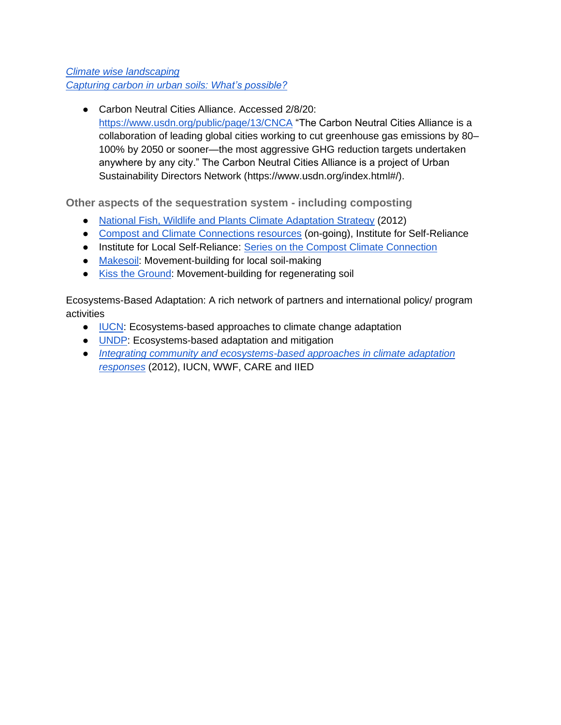*[Climate wise landscaping](https://www.newsociety.com/Books/C/Climate-Wise-Landscaping) [Capturing carbon in urban soils: What's possible?](https://www.urbangreencouncil.org/content/events/capturing-carbon-urban-soil-whats-possible-cities)*

● Carbon Neutral Cities Alliance. Accessed 2/8/20[:](https://www.usdn.org/public/page/13/CNCA) <https://www.usdn.org/public/page/13/CNCA> "The Carbon Neutral Cities Alliance is a collaboration of leading global cities working to cut greenhouse gas emissions by 80– 100% by 2050 or sooner—the most aggressive GHG reduction targets undertaken anywhere by any city." The Carbon Neutral Cities Alliance is a project of Urban Sustainability Directors Network (https://www.usdn.org/index.html#/).

**Other aspects of the sequestration system - including composting**

- [National Fish, Wildlife and Plants Climate Adaptation Strategy](https://www.st.nmfs.noaa.gov/Assets/ecosystems/documents/NFWPCAS-Final.pdf) (2012)
- [Compost and Climate Connections resources](https://ilsr.org/composting/) (on-going), Institute for Self-Reliance
- Institute for Local Self-Reliance: [Series on the Compost Climate Connection](https://ilsr.org/composting/)
- [Makesoil:](https://www.makesoil.org/) Movement-building for local soil-making
- [Kiss the Ground:](https://kisstheground.com/) Movement-building for regenerating soil

Ecosystems-Based Adaptation: A rich network of partners and international policy/ program activities

- [IUCN:](https://www.iucn.org/theme/ecosystem-management/our-work/ecosystem-based-approaches-climate-change-adaptation) Ecosystems-based approaches to climate change adaptation
- [UNDP:](https://www.adaptation-undp.org/ecosystem-based-adaptation-and-mitigation) Ecosystems-based adaptation and mitigation
- *[Integrating community and ecosystems-based approaches in climate adaptation](http://cmsdata.iucn.org/downloads/a_eba_integratedapproach_15_04_12_0.pdf)  [responses](http://cmsdata.iucn.org/downloads/a_eba_integratedapproach_15_04_12_0.pdf)* (2012), IUCN, WWF, CARE and IIED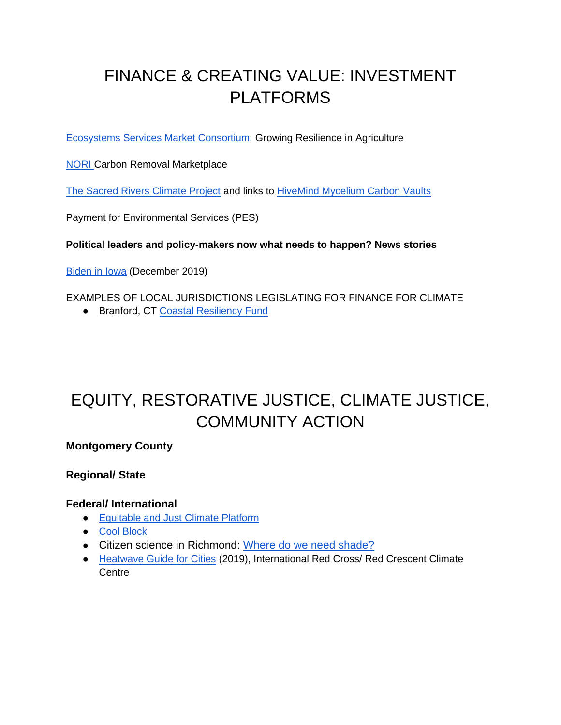# FINANCE & CREATING VALUE: INVESTMENT PLATFORMS

[Ecosystems Services Market Consortium:](https://ecosystemservicesmarket.org/) Growing Resilience in Agriculture

**NORI** Carbon Removal Marketplace

[The Sacred Rivers Climate Project](https://www.srcproject.com/mission) and links to [HiveMind Mycelium Carbon Vaults](http://techhivemind.com/)

Payment for Environmental Services (PES)

**Political leaders and policy-makers now what needs to happen? News stories**

[Biden in Iowa](https://www.theguardian.com/commentisfree/2019/dec/04/i-keep-my-promises-how-biden-is-using-the-climate-crisis-to-appeal-to-rural-voters?CMP=Share_iOSApp_Other) (December 2019)

EXAMPLES OF LOCAL JURISDICTIONS LEGISLATING FOR FINANCE FOR CLIMATE

● Branford, CT [Coastal Resiliency Fund](https://www.cakex.org/case-studies/viewing-climate-change-long-term-liability-through-branford-ct-coastal-resiliency-fund)

# EQUITY, RESTORATIVE JUSTICE, CLIMATE JUSTICE, COMMUNITY ACTION

### **Montgomery County**

#### **Regional/ State**

#### **Federal/ International**

- [Equitable and Just Climate Platform](https://ajustclimate.org/)
- [Cool Block](https://coolblock.org/how-does-program-work)
- Citizen science in Richmond: [Where do we need shade?](https://toolkit.climate.gov/case-studies/where-do-we-need-shade-mapping-urban-heat-islands-richmond-virginia)
- [Heatwave Guide for Cities](https://www.climatecentre.org/downloads/files/IFRCGeneva/RCCC%20Heatwave%20Guide%202019%20A4%20RR%20ONLINE%20copy.pdf) (2019), International Red Cross/ Red Crescent Climate **Centre**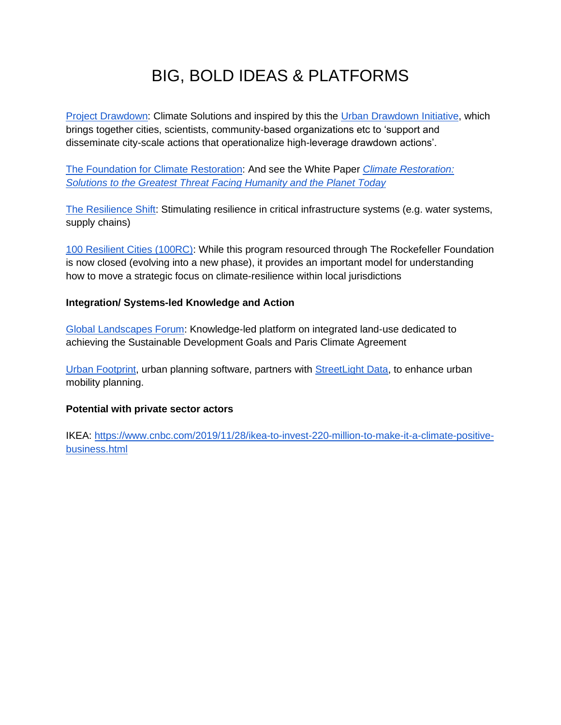# BIG, BOLD IDEAS & PLATFORMS

**[Project Drawdown:](https://www.drawdown.org/) Climate Solutions and inspired by this the [Urban Drawdown Initiative,](https://urbandrawdown.solutions/) which** brings together cities, scientists, community-based organizations etc to 'support and disseminate city-scale actions that operationalize high-leverage drawdown actions'.

[The Foundation for Climate Restoration:](https://foundationforclimaterestoration.org/) And see the White Paper *[Climate Restoration:](https://foundationforclimaterestoration.org/wp-content/uploads/2019/11/20191030_f4cr4_white-paper.pdf)  [Solutions to the Greatest Threat Facing Humanity and the Planet Today](https://foundationforclimaterestoration.org/wp-content/uploads/2019/11/20191030_f4cr4_white-paper.pdf)*

[The Resilience Shift:](https://www.resilienceshift.org/) Stimulating resilience in critical infrastructure systems (e.g. water systems, supply chains)

[100 Resilient Cities \(100RC\):](http://www.100resilientcities.org/) While this program resourced through The Rockefeller Foundation is now closed (evolving into a new phase), it provides an important model for understanding how to move a strategic focus on climate-resilience within local jurisdictions

#### **Integration/ Systems-led Knowledge and Action**

[Global Landscapes Forum:](https://www.globallandscapesforum.org/about/welcome-to-the-global-landscapes-forum/) Knowledge-led platform on integrated land-use dedicated to achieving the Sustainable Development Goals and Paris Climate Agreement

[Urban Footprint,](https://urbanfootprint.com/) urban planning software, partners with [StreetLight Data,](https://www.streetlightdata.com/) to enhance urban mobility planning.

#### **Potential with private sector actors**

IKEA: [https://www.cnbc.com/2019/11/28/ikea-to-invest-220-million-to-make-it-a-climate-positive](https://www.cnbc.com/2019/11/28/ikea-to-invest-220-million-to-make-it-a-climate-positive-business.html)[business.html](https://www.cnbc.com/2019/11/28/ikea-to-invest-220-million-to-make-it-a-climate-positive-business.html)